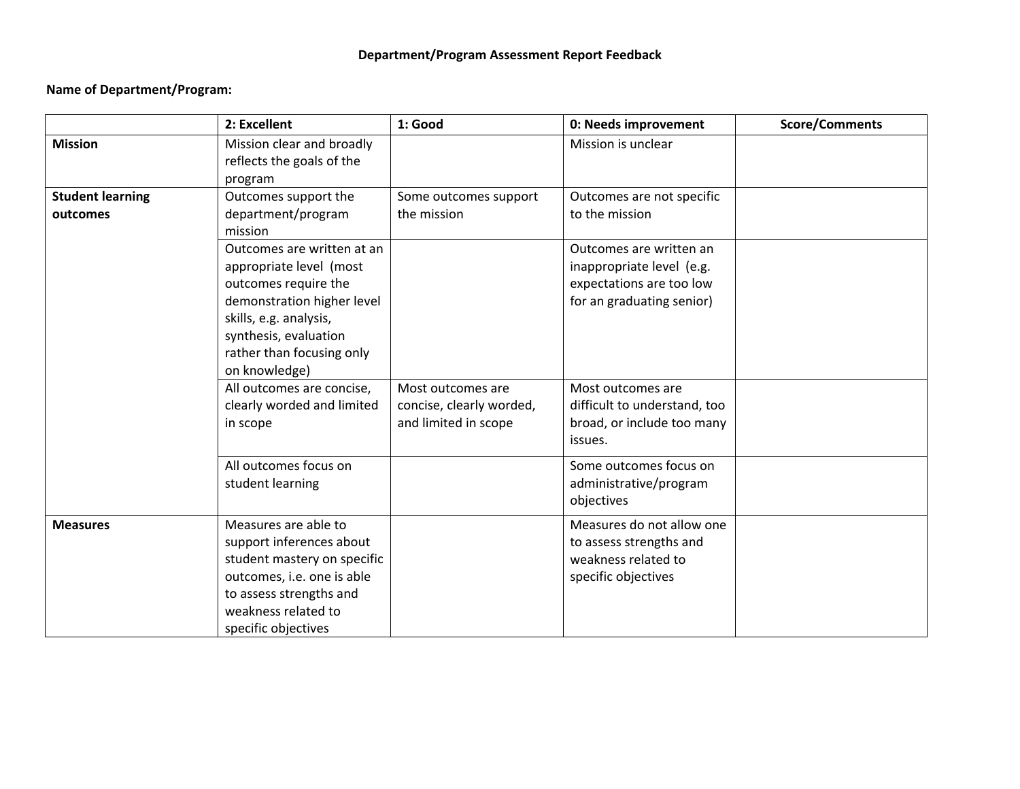## **Department/Program Assessment Report Feedback**

## **Name of Department/Program:**

|                                     | 2: Excellent                                                                                                                                                                                                                                                            | 1: Good                                       | 0: Needs improvement                                                                                                                                               | <b>Score/Comments</b> |
|-------------------------------------|-------------------------------------------------------------------------------------------------------------------------------------------------------------------------------------------------------------------------------------------------------------------------|-----------------------------------------------|--------------------------------------------------------------------------------------------------------------------------------------------------------------------|-----------------------|
| <b>Mission</b>                      | Mission clear and broadly<br>reflects the goals of the<br>program                                                                                                                                                                                                       |                                               | Mission is unclear                                                                                                                                                 |                       |
| <b>Student learning</b><br>outcomes | Outcomes support the<br>department/program<br>mission                                                                                                                                                                                                                   | Some outcomes support<br>the mission          | Outcomes are not specific<br>to the mission                                                                                                                        |                       |
|                                     | Outcomes are written at an<br>appropriate level (most<br>outcomes require the<br>demonstration higher level<br>skills, e.g. analysis,<br>synthesis, evaluation<br>rather than focusing only<br>on knowledge)<br>All outcomes are concise,<br>clearly worded and limited | Most outcomes are<br>concise, clearly worded, | Outcomes are written an<br>inappropriate level (e.g.<br>expectations are too low<br>for an graduating senior)<br>Most outcomes are<br>difficult to understand, too |                       |
|                                     | in scope                                                                                                                                                                                                                                                                | and limited in scope                          | broad, or include too many<br>issues.                                                                                                                              |                       |
|                                     | All outcomes focus on<br>student learning                                                                                                                                                                                                                               |                                               | Some outcomes focus on<br>administrative/program<br>objectives                                                                                                     |                       |
| <b>Measures</b>                     | Measures are able to<br>support inferences about<br>student mastery on specific<br>outcomes, i.e. one is able<br>to assess strengths and<br>weakness related to<br>specific objectives                                                                                  |                                               | Measures do not allow one<br>to assess strengths and<br>weakness related to<br>specific objectives                                                                 |                       |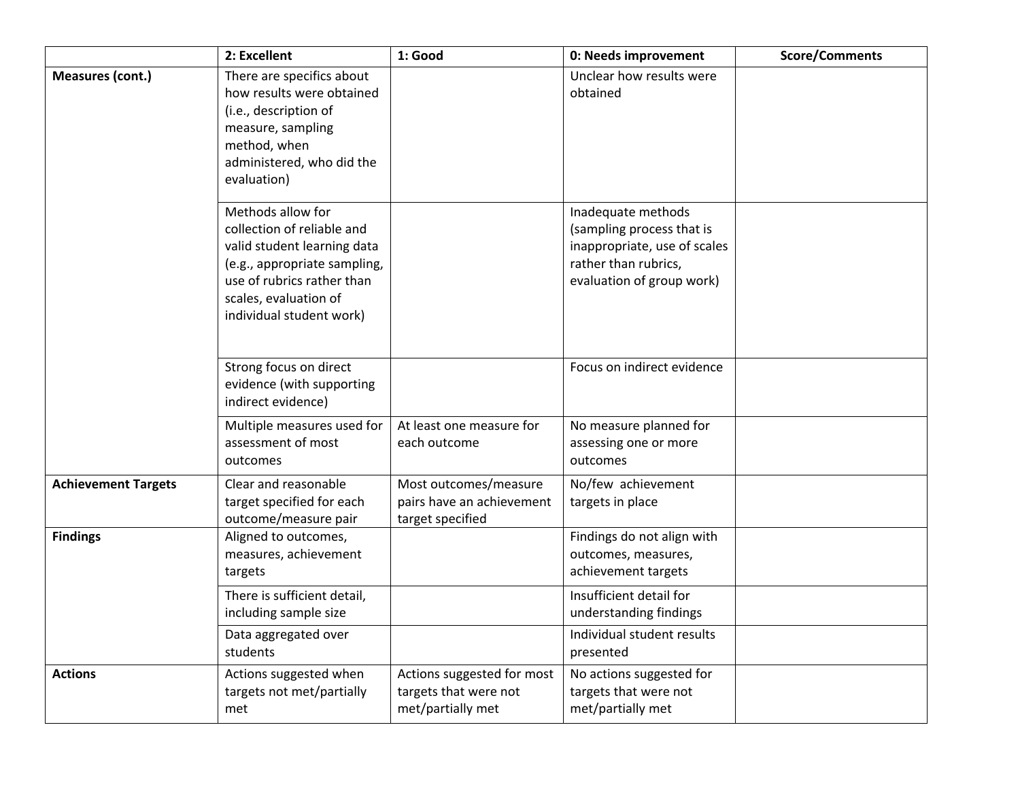|                            | 2: Excellent                                                                                                                                                                                      | 1: Good                                                                  | 0: Needs improvement                                                                                                                 | <b>Score/Comments</b> |
|----------------------------|---------------------------------------------------------------------------------------------------------------------------------------------------------------------------------------------------|--------------------------------------------------------------------------|--------------------------------------------------------------------------------------------------------------------------------------|-----------------------|
| Measures (cont.)           | There are specifics about<br>how results were obtained<br>(i.e., description of<br>measure, sampling<br>method, when<br>administered, who did the<br>evaluation)                                  |                                                                          | Unclear how results were<br>obtained                                                                                                 |                       |
|                            | Methods allow for<br>collection of reliable and<br>valid student learning data<br>(e.g., appropriate sampling,<br>use of rubrics rather than<br>scales, evaluation of<br>individual student work) |                                                                          | Inadequate methods<br>(sampling process that is<br>inappropriate, use of scales<br>rather than rubrics,<br>evaluation of group work) |                       |
|                            | Strong focus on direct<br>evidence (with supporting<br>indirect evidence)                                                                                                                         |                                                                          | Focus on indirect evidence                                                                                                           |                       |
|                            | Multiple measures used for<br>assessment of most<br>outcomes                                                                                                                                      | At least one measure for<br>each outcome                                 | No measure planned for<br>assessing one or more<br>outcomes                                                                          |                       |
| <b>Achievement Targets</b> | Clear and reasonable<br>target specified for each<br>outcome/measure pair                                                                                                                         | Most outcomes/measure<br>pairs have an achievement<br>target specified   | No/few achievement<br>targets in place                                                                                               |                       |
| <b>Findings</b>            | Aligned to outcomes,<br>measures, achievement<br>targets                                                                                                                                          |                                                                          | Findings do not align with<br>outcomes, measures,<br>achievement targets                                                             |                       |
|                            | There is sufficient detail,<br>including sample size<br>Data aggregated over                                                                                                                      |                                                                          | Insufficient detail for<br>understanding findings<br>Individual student results                                                      |                       |
|                            | students                                                                                                                                                                                          |                                                                          | presented                                                                                                                            |                       |
| <b>Actions</b>             | Actions suggested when<br>targets not met/partially<br>met                                                                                                                                        | Actions suggested for most<br>targets that were not<br>met/partially met | No actions suggested for<br>targets that were not<br>met/partially met                                                               |                       |